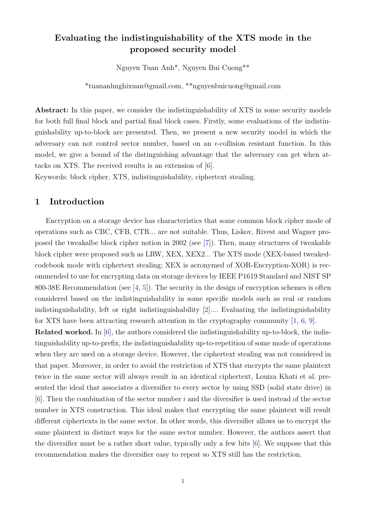# Evaluating the indistinguishability of the XTS mode in the proposed security model

Nguyen Tuan Anh\*, Nguyen Bui Cuong\*\*

\*tuananhnghixuan@gmail.com, \*\*nguyenbuicuong@gmail.com

Abstract: In this paper, we consider the indistinguishability of XTS in some security models for both full final block and partial final block cases. Firstly, some evaluations of the indistinguishability up-to-block are presented. Then, we present a new security model in which the adversary can not control sector number, based on an  $\epsilon$ -collision resistant function. In this model, we give a bound of the distinguishing advantage that the adversary can get when attacks on XTS. The received results is an extension of [\[6\]](#page-10-0).

Keywords: block cipher, XTS, indistinguishability, ciphertext stealing.

### 1 Introduction

Encryption on a storage device has characteristics that some common block cipher mode of operations such as CBC, CFB, CTR... are not suitable. Thus, Liskov, Rivest and Wagner proposed the tweakalbe block cipher notion in 2002 (see [\[7\]](#page-10-1)). Then, many structures of tweakable block cipher were proposed such as LRW, XEX, XEX2... The XTS mode (XEX-based tweakedcodebook mode with ciphertext stealing; XEX is acronymed of XOR-Encryption-XOR) is recommended to use for encrypting data on storage devices by IEEE P1619 Standard and NIST SP 800-38E Recommendation (see  $\left[4, 5\right]$  $\left[4, 5\right]$  $\left[4, 5\right]$ ). The security in the design of encryption schemes is often considered based on the indistinguishability in some specific models such as real or random indistinguishability, left or right indistinguishability [\[2\]](#page-10-4).... Evaluating the indistinguishability for XTS have been attracting research attention in the cryptography community  $[1, 6, 9]$  $[1, 6, 9]$  $[1, 6, 9]$  $[1, 6, 9]$  $[1, 6, 9]$ .

Related worked. In [\[6\]](#page-10-0), the authors considered the indistinguishability up-to-block, the indistinguishability up-to-prefix, the indistinguishability up-to-repetition of some mode of operations when they are used on a storage device. However, the ciphertext stealing was not considered in that paper. Moreover, in order to avoid the restriction of XTS that encrypts the same plaintext twice in the same sector will always result in an identical ciphertext, Louiza Khati et al. presented the ideal that associates a diversifier to every sector by using SSD (solid state drive) in  $[6]$ . Then the combination of the sector number i and the diversifier is used instead of the sector number in XTS construction. This ideal makes that encrypting the same plaintext will result different ciphertexts in the same sector. In other words, this diversifier allows us to encrypt the same plaintext in distinct ways for the same sector number. However, the authors assert that the diversifier must be a rather short value, typically only a few bits [\[6\]](#page-10-0). We suppose that this recommendation makes the diversifier easy to repeat so XTS still has the restriction.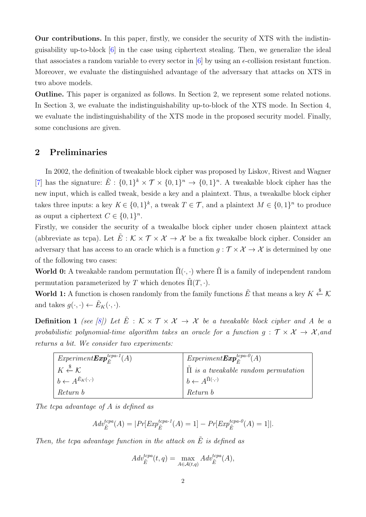Our contributions. In this paper, firstly, we consider the security of XTS with the indistinguisability up-to-block [\[6\]](#page-10-0) in the case using ciphertext stealing. Then, we generalize the ideal that associates a random variable to every sector in  $[6]$  by using an  $\epsilon$ -collision resistant function. Moreover, we evaluate the distinguished advantage of the adversary that attacks on XTS in two above models.

Outline. This paper is organized as follows. In Section 2, we represent some related notions. In Section 3, we evaluate the indistinguishability up-to-block of the XTS mode. In Section 4, we evaluate the indistinguishability of the XTS mode in the proposed security model. Finally, some conclusions are given.

#### 2 Preliminaries

In 2002, the definition of tweakable block cipher was proposed by Liskov, Rivest and Wagner [\[7\]](#page-10-1) has the signature:  $\tilde{E}$ :  $\{0,1\}^k \times \mathcal{T} \times \{0,1\}^n \to \{0,1\}^n$ . A tweakable block cipher has the new input, which is called tweak, beside a key and a plaintext. Thus, a tweakalbe block cipher takes three inputs: a key  $K \in \{0,1\}^k$ , a tweak  $T \in \mathcal{T}$ , and a plaintext  $M \in \{0,1\}^n$  to produce as ouput a ciphertext  $C \in \{0,1\}^n$ .

Firstly, we consider the security of a tweakalbe block cipher under chosen plaintext attack (abbreviate as tcpa). Let  $\tilde{E}: K \times T \times \mathcal{X} \to \mathcal{X}$  be a fix tweakalbe block cipher. Consider an adversary that has access to an oracle which is a function  $g : \mathcal{T} \times \mathcal{X} \to \mathcal{X}$  is determined by one of the following two cases:

World 0: A tweakable random permutation  $\tilde{\Pi}(\cdot, \cdot)$  where  $\tilde{\Pi}$  is a family of independent random permutation parameterized by T which denotes  $\tilde{\Pi}(T, \cdot)$ .

World 1: A function is chosen randomly from the family functions  $\tilde{E}$  that means a key  $K \xleftarrow{\$} \mathcal{K}$ and takes  $g(\cdot, \cdot) \leftarrow \tilde{E}_K(\cdot, \cdot)$ .

**Definition 1** (see [\[8\]](#page-10-7)) Let  $\tilde{E}$  :  $K \times T \times X \rightarrow X$  be a tweakable block cipher and A be a probabilistic polynomial-time algorithm takes an oracle for a function  $g : \mathcal{T} \times \mathcal{X} \rightarrow \mathcal{X}$ , and returns a bit. We consider two experiments:

| $Experiment {\bm{Exp}}^{tcpa-1}_{\tilde F}(A)$ | $Expressionent {\bm{Exp}}_{{\tilde{\bm{r}}}}^{tcpa-0}(A)$ |
|------------------------------------------------|-----------------------------------------------------------|
| $K \overset{\$}{\leftarrow} \mathcal{K}$       | $\parallel \Pi$ is a tweakable random permutation         |
| $b \leftarrow A^{E_K(\cdot, \cdot)}$           | $  b \leftarrow A^{\Pi(\cdot, \cdot)}$                    |
| Return b                                       | Return b                                                  |

The tcpa advantage of A is defined as

$$
Adv_{\tilde{E}}^{tcpa}(A) = |Pr[Exp_{\tilde{E}}^{tcpa-1}(A) = 1] - Pr[Exp_{\tilde{E}}^{tcpa-0}(A) = 1]|.
$$

Then, the tcpa advantage function in the attack on  $\tilde{E}$  is defined as

$$
Adv_{\tilde{E}}^{tcpa}(t,q) = \max_{A \in \mathcal{A}(t,q)} Adv_{\tilde{E}}^{tcpa}(A),
$$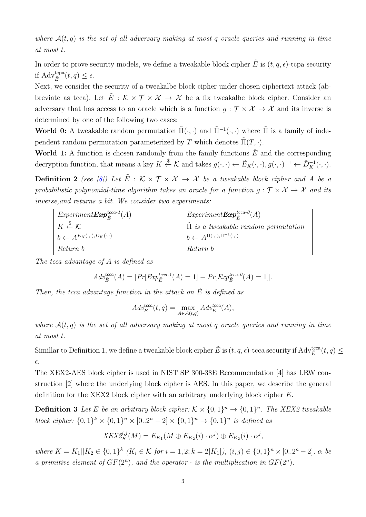where  $A(t, q)$  is the set of all adversary making at most q oracle queries and running in time at most t.

In order to prove security models, we define a tweakable block cipher  $\hat{E}$  is  $(t, q, \epsilon)$ -tcpa security if  $\operatorname{Adv}_{\tilde{E}}^{\text{tcpa}}(t,q) \leq \epsilon.$ 

Next, we consider the security of a tweakalbe block cipher under chosen ciphertext attack (abbreviate as tcca). Let  $\tilde{E}$  :  $\mathcal{K} \times \mathcal{T} \times \mathcal{X} \to \mathcal{X}$  be a fix tweakalbe block cipher. Consider an adversary that has access to an oracle which is a function  $g : \mathcal{T} \times \mathcal{X} \to \mathcal{X}$  and its inverse is determined by one of the following two cases:

World 0: A tweakable random permutation  $\tilde{\Pi}(\cdot,\cdot)$  and  $\tilde{\Pi}^{-1}(\cdot,\cdot)$  where  $\tilde{\Pi}$  is a family of independent random permutation parameterized by T which denotes  $\Pi(T, \cdot)$ .

World 1: A function is chosen randomly from the family functions  $\tilde{E}$  and the corresponding decryption function, that means a key  $K \xleftarrow{\$} \mathcal{K}$  and takes  $g(\cdot,\cdot) \leftarrow \tilde{E}_K(\cdot,\cdot), g(\cdot,\cdot)^{-1} \leftarrow \tilde{D}_K^{-1}(\cdot,\cdot)$ .

**Definition 2** (see [\[8\]](#page-10-7)) Let  $\tilde{E}$  :  $K \times T \times X \rightarrow X$  be a tweakable block cipher and A be a probabilistic polynomial-time algorithm takes an oracle for a function  $g : \mathcal{T} \times \mathcal{X} \to \mathcal{X}$  and its inverse,and returns a bit. We consider two experiments:

| $Expressionent{\bm{Exp}}_{\tilde{F}}^{tcca\text{-}1}(A)$                | $Expressionent {\bm{Exp}}_{{\tilde{F}} }^{tcca-O}(A)$                          |
|-------------------------------------------------------------------------|--------------------------------------------------------------------------------|
| $K \overset{\$}{\leftarrow} \mathcal{K}$                                | $\parallel$ $\Pi$ is a tweakable random permutation                            |
| $\phi \leftarrow A^{\tilde{E}_K(\cdot,\cdot),\tilde{D}_K(\cdot,\cdot)}$ | $  b \leftarrow A^{\tilde{\Pi}(\cdot, \cdot), \tilde{\Pi}^{-1}(\cdot, \cdot)}$ |
| Return b                                                                | Return b                                                                       |

The tcca advantage of A is defined as

$$
Adv_{\tilde{E}}^{tcca}(A) = |Pr[Exp_{\tilde{E}}^{tcca-1}(A) = 1] - Pr[Exp_{\tilde{E}}^{tcca-0}(A) = 1]|.
$$

Then, the tcca advantage function in the attack on  $\tilde{E}$  is defined as

$$
Adv_{\tilde{E}}^{tcca}(t,q) = \max_{A \in \mathcal{A}(t,q)} Adv_{\tilde{E}}^{tcca}(A),
$$

where  $A(t, q)$  is the set of all adversary making at most q oracle queries and running in time at most t.

Simillar to Definition 1, we define a tweakable block cipher  $\tilde{E}$  is  $(t, q, \epsilon)$ -tcca security if  $\text{Adv}_{\tilde{E}}^{\text{tca}}(t, q) \leq$  $\epsilon$ .

The XEX2-AES block cipher is used in NIST SP 300-38E Recommendation [4] has LRW construction [2] where the underlying block cipher is AES. In this paper, we describe the general definition for the XEX2 block cipher with an arbitrary underlying block cipher E.

**Definition 3** Let E be an arbitrary block cipher:  $K \times \{0,1\}^n \rightarrow \{0,1\}^n$ . The XEX2 tweakable block cipher:  $\{0,1\}^k \times \{0,1\}^n \times [0..2^n-2] \times \{0,1\}^n \to \{0,1\}^n$  is defined as

$$
XEX2_K^{i,j}(M) = E_{K_1}(M \oplus E_{K_2}(i) \cdot \alpha^j) \oplus E_{K_2}(i) \cdot \alpha^j,
$$

where  $K = K_1||K_2 \in \{0,1\}^k$   $(K_i \in \mathcal{K}$  for  $i = 1,2; k = 2|K_1|, (i,j) \in \{0,1\}^n \times [0..2^n-2], \alpha$  be a primitive element of  $GF(2^n)$ , and the operator  $\cdot$  is the multiplication in  $GF(2^n)$ .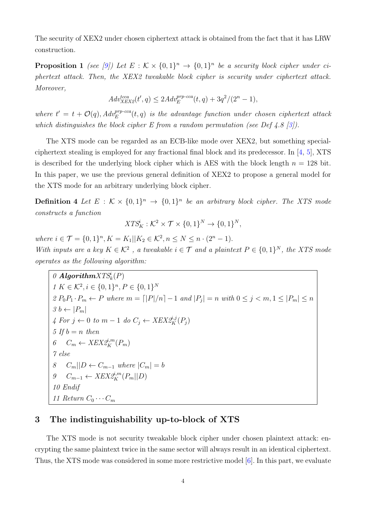The security of XEX2 under chosen ciphertext attack is obtained from the fact that it has LRW construction.

**Proposition 1** (see [\[9\]](#page-10-6)) Let  $E : \mathcal{K} \times \{0,1\}^n \to \{0,1\}^n$  be a security block cipher under ciphertext attack. Then, the XEX2 tweakable block cipher is security under ciphertext attack. Moreover,

$$
Adv_{XEX2}^{tcca}(t',q) \le 2Adv_E^{prp\text{-}cca}(t,q) + 3q^2/(2^n - 1),
$$

where  $t' = t + \mathcal{O}(q)$ ,  $Adv_E^{prp-cca}(t,q)$  is the advantage function under chosen ciphertext attack which distinguishes the block cipher E from a random permutation (see Def 4.8 [\[3\]](#page-10-8)).

The XTS mode can be regarded as an ECB-like mode over XEX2, but something specialciphertext stealing is employed for any fractional final block and its predecessor. In [\[4,](#page-10-2) [5\]](#page-10-3), XTS is described for the underlying block cipher which is AES with the block length  $n = 128$  bit. In this paper, we use the previous general definition of XEX2 to propose a general model for the XTS mode for an arbitrary underlying block cipher.

**Definition 4** Let  $E : \mathcal{K} \times \{0,1\}^n \rightarrow \{0,1\}^n$  be an arbitrary block cipher. The XTS mode constructs a function

$$
XTS_K^i: \mathcal{K}^2 \times \mathcal{T} \times \{0,1\}^N \to \{0,1\}^N,
$$

where  $i \in \mathcal{T} = \{0, 1\}^n, K = K_1 || K_2 \in \mathcal{K}^2, n \leq N \leq n \cdot (2^n - 1).$ With inputs are a key  $K \in \mathcal{K}^2$ , a tweakable  $i \in \mathcal{T}$  and a plaintext  $P \in \{0,1\}^N$ , the XTS mode operates as the following algorithm:

 $0$  Algorithm ${\cal XTS}_k^i(P)$  $1 K \in \mathcal{K}^2, i \in \{0,1\}^n, P \in \{0,1\}^N$  $2 P_0 P_1 \cdot P_m \leftarrow P$  where  $m = \lfloor |P|/n \rfloor - 1$  and  $|P_j| = n$  with  $0 \le j < m, 1 \le |P_m| \le n$  $3 b \leftarrow |P_m|$  $4 For j \leftarrow 0 to m - 1 do C_j \leftarrow XEX2_K^{i,j}(P_j)$ 5 If  $b = n$  then 6  $C_m \leftarrow XEX2_K^{i,m}(P_m)$ 7 else 8 C<sub>m</sub>||D ← C<sub>m−1</sub> where  $|C_m| = b$ 9  $C_{m-1}$  ←  $XEX2_K^{j,m}(P_m||D)$ 10 Endif 11 Return  $C_0 \cdots C_m$ 

# 3 The indistinguishability up-to-block of XTS

The XTS mode is not security tweakable block cipher under chosen plaintext attack: encrypting the same plaintext twice in the same sector will always result in an identical ciphertext. Thus, the XTS mode was considered in some more restrictive model [\[6\]](#page-10-0). In this part, we evaluate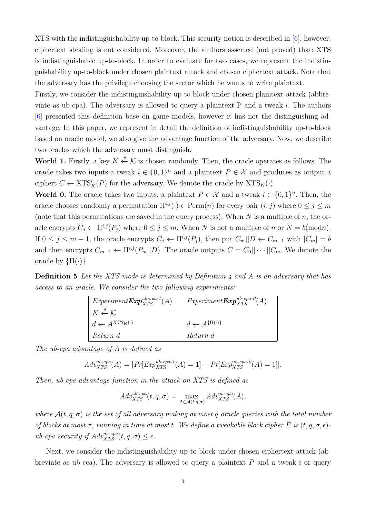XTS with the indistinguishability up-to-block. This security notion is described in [\[6\]](#page-10-0), however, ciphertext stealing is not considered. Moreover, the authors asserted (not proved) that: XTS is indistinguishable up-to-block. In order to evaluate for two cases, we represent the indistinguishability up-to-block under chosen plaintext attack and chosen ciphertext attack. Note that the adversary has the privilege choosing the sector which he wants to write plaintext.

Firstly, we consider the indistinguishability up-to-block under chosen plaintext attack (abbreviate as ub-cpa). The adversary is allowed to query a plaintext  $P$  and a tweak i. The authors [\[6\]](#page-10-0) presented this definition base on game models, however it has not the distinguishing advantage. In this paper, we represent in detail the definition of indistinguishability up-to-block based on oracle model, we also give the advantage function of the adversary. Now, we describe two oracles which the adversary must distinguish.

**World 1.** Firstly, a key  $K \xleftarrow{\$} \mathcal{K}$  is chosen randomly. Then, the oracle operates as follows. The oracle takes two inputs-a tweak  $i \in \{0,1\}^n$  and a plaintext  $P \in \mathcal{X}$  and produces as output a ciphert  $C \leftarrow \text{XTS}_{K}^{i}(P)$  for the adversary. We denote the oracle by  $\text{XTS}_{K}(\cdot)$ .

**World 0.** The oracle takes two inputs: a plaintext  $P \in \mathcal{X}$  and a tweak  $i \in \{0,1\}^n$ . Then, the oracle chooses randomly a permutation  $\Pi^{i,j}(\cdot) \in \text{Perm}(n)$  for every pair  $(i, j)$  where  $0 \leq j \leq m$ (note that this permutations are saved in the query process). When  $N$  is a multiple of  $n$ , the oracle encrypts  $C_j \leftarrow \Pi^{i,j}(P_j)$  where  $0 \leq j \leq m$ . When N is not a multiple of n or  $N = b \pmod{n}$ . If  $0 \le j \le m-1$ , the oracle encrypts  $C_j \leftarrow \prod^{i,j}(P_j)$ , then put  $C_m||D \leftarrow C_{m-1}$  with  $|C_m| = b$ and then encrypts  $C_{m-1} \leftarrow \prod^{i,j}(P_m||D)$ . The oracle outputs  $C = C_0||\cdots||C_m$ . We denote the oracle by  $\{\Pi(\cdot)\}.$ 

Definition 5 Let the XTS mode is determined by Definition 4 and A is an adversary that has access to an oracle. We consider the two following experiments:

| $Experiment {\cal E} xp_{XTS}^{ub-cpa-1}(\overline{A})$ | $Experiment \boldsymbol{Exp}^{ub\text{-}cpa-0}_{XTS}(A)$ |
|---------------------------------------------------------|----------------------------------------------------------|
| $K \overset{\$}{\leftarrow} \mathcal{K}$                |                                                          |
| $d \leftarrow A^{XTS_K(\cdot)}$                         | $d \leftarrow A^{\{\Pi(\cdot)\}}$                        |
| Return d                                                | Return d                                                 |

The ub-cpa advantage of A is defined as

$$
Adv_{XTS}^{ub\text{-}cpa}(A) = |Pr[Exp_{XTS}^{ub\text{-}cpa-1}(A) = 1] - Pr[Exp_{XTS}^{ub\text{-}cpa-0}(A) = 1]|.
$$

Then, ub-cpa advantage function in the attack on XTS is defined as

$$
Adv_{XTS}^{ub-cpa}(t, q, \sigma) = \max_{A \in \mathcal{A}(t, q, \sigma)} Adv_{XTS}^{ub-cpa}(A),
$$

where  $\mathcal{A}(t, q, \sigma)$  is the set of all adversary making at most q oracle queries with the total number of blocks at most  $\sigma$ , running in time at most t. We define a tweakable block cipher  $\tilde{E}$  is  $(t, q, \sigma, \epsilon)$ ub-cpa security if  $Adv_{XTS}^{ub-cpa}(t, q, \sigma) \leq \epsilon$ .

Next, we consider the indistinguishability up-to-block under chosen ciphertext attack (abbreviate as ub-cca). The adversary is allowed to query a plaintext  $P$  and a tweak  $i$  or query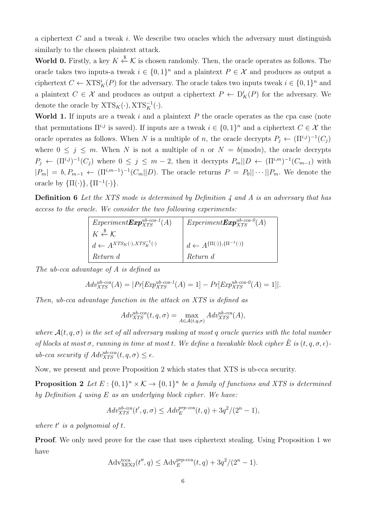a ciphertext  $C$  and a tweak  $i$ . We describe two oracles which the adversary must distinguish similarly to the chosen plaintext attack.

**World 0.** Firstly, a key  $K \xleftarrow{\$} \mathcal{K}$  is chosen randomly. Then, the oracle operates as follows. The oracle takes two inputs-a tweak  $i \in \{0,1\}^n$  and a plaintext  $P \in \mathcal{X}$  and produces as output a ciphertext  $C \leftarrow XTS_K^i(P)$  for the adversary. The oracle takes two inputs tweak  $i \in \{0,1\}^n$  and a plaintext  $C \in \mathcal{X}$  and produces as output a ciphertext  $P \leftarrow D_K^i(P)$  for the adversary. We denote the oracle by  $XTS_K(\cdot), XTS_K^{-1}(\cdot)$ .

World 1. If inputs are a tweak  $i$  and a plaintext  $P$  the oracle operates as the cpa case (note that permutations  $\Pi^{i,j}$  is saved). If inputs are a tweak  $i \in \{0,1\}^n$  and a ciphertext  $C \in \mathcal{X}$  the oracle operates as follows. When N is a multiple of n, the oracle decrypts  $P_j \leftarrow (\Pi^{i,j})^{-1}(C_j)$ where  $0 \leq j \leq m$ . When N is not a multiple of n or  $N = b \pmod{n}$ , the oracle decrypts  $P_j \leftarrow (\Pi^{i,j})^{-1}(C_j)$  where  $0 \leq j \leq m-2$ , then it decrypts  $P_m||D \leftarrow (\Pi^{i,m})^{-1}(C_{m-1})$  with  $|P_m| = b, P_{m-1} \leftarrow (\Pi^{i,m-1})^{-1}(C_m||D)$ . The oracle returns  $P = P_0||\cdots||P_m$ . We denote the oracle by  $\{\Pi(\cdot)\}, \{\Pi^{-1}(\cdot)\}.$ 

Definition 6 Let the XTS mode is determined by Definition 4 and A is an adversary that has access to the oracle. We consider the two following experiments:

| $Experiment {\bf Exp}^{ub\text{-}cca\text{-}1}_{XTS}(A)$ | $Experiment {\bf Exp}^{ub\text{-}cca\text{-}0}_{XTS}(A)$ |
|----------------------------------------------------------|----------------------------------------------------------|
| $K \overset{\$}{\leftarrow} \mathcal{K}$                 |                                                          |
| $d \leftarrow A^{XTS_K(\cdot), XTS_K^{-1}(\cdot)}$       | $d \leftarrow A^{\{\Pi(\cdot)\},\{\Pi^{-1}(\cdot)\}}$    |
| Return d                                                 | Return d                                                 |

The ub-cca advantage of A is defined as

$$
Adv_{XTS}^{ub-cca}(A) = |Pr[Exp_{XTS}^{ub-cca-1}(A) = 1] - Pr[Exp_{XTS}^{ub-cca-0}(A) = 1]|.
$$

Then, ub-cca advantage function in the attack on XTS is defined as

$$
Adv_{XTS}^{ub-cca}(t, q, \sigma) = \max_{A \in \mathcal{A}(t, q, \sigma)} Adv_{XTS}^{ub-cca}(A),
$$

where  $\mathcal{A}(t, q, \sigma)$  is the set of all adversary making at most q oracle queries with the total number of blocks at most  $\sigma$ , running in time at most t. We define a tweakable block cipher  $\hat{E}$  is  $(t, q, \sigma, \epsilon)$ ub-cca security if  $Adv_{XTS}^{ub-cca}(t, q, \sigma) \leq \epsilon$ .

Now, we present and prove Proposition 2 which states that XTS is ub-cca security.

**Proposition 2** Let  $E: \{0,1\}^n \times K \to \{0,1\}^n$  be a family of functions and XTS is determined by Definition  $\lambda$  using E as an underlying block cipher. We have:

$$
Adv_{XTS}^{ub\text{-}cca}(t',q,\sigma) \leq Adv_E^{prp\text{-}cca}(t,q) + 3q^2/(2^n - 1),
$$

where  $t'$  is a polynomial of  $t$ .

Proof. We only need prove for the case that uses ciphertext stealing. Using Proposition 1 we have

$$
Adv_{X\to X2}^{\text{tcca}}(t'', q) \le Adv_{E}^{\text{prp-cca}}(t, q) + 3q^2/(2^n - 1).
$$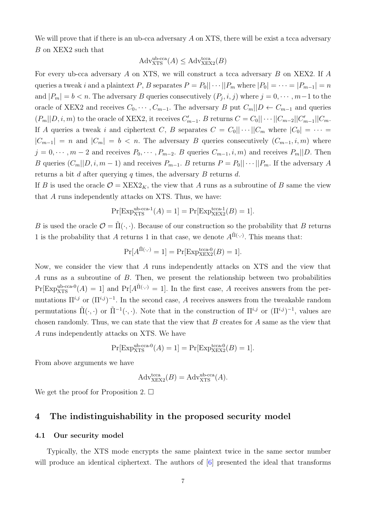We will prove that if there is an ub-cca adversary A on XTS, there will be exist a tcca adversary B on XEX2 such that

$$
\mathrm{Adv}^{\mathrm{ub-cca}}_{\mathrm{XTS}}(A) \leq \mathrm{Adv}^{\mathrm{tcca}}_{\mathrm{XEX2}}(B)
$$

For every ub-cca adversary A on XTS, we will construct a tcca adversary B on XEX2. If A queries a tweak i and a plaintext P, B separates  $P = P_0 || \cdots || P_m$  where  $|P_0| = \cdots = |P_{m-1}| = n$ and  $|P_m| = b < n$ . The adversary B queries consecutively  $(P_j, i, j)$  where  $j = 0, \dots, m-1$  to the oracle of XEX2 and receives  $C_0, \dots, C_{m-1}$ . The adversary B put  $C_m||D \leftarrow C_{m-1}$  and queries  $(P_m||D, i, m)$  to the oracle of XEX2, it receives  $C'_{m-1}$ . B returns  $C = C_0 || \cdots ||C_{m-2}|| C'_{m-1} || C_m$ . If A queries a tweak i and ciphertext C, B separates  $C = C_0 || \cdots || C_m$  where  $|C_0| = \cdots$  $|C_{m-1}| = n$  and  $|C_m| = b < n$ . The adversary B queries consecutively  $(C_{m-1}, i, m)$  where  $j = 0, \dots, m-2$  and receives  $P_0, \dots, P_{m-2}$ . B queries  $C_{m-1}, i, m$  and receives  $P_m||D$ . Then B queries  $(C_m||D, i, m-1)$  and receives  $P_{m-1}$ . B returns  $P = P_0||\cdots||P_m$ . If the adversary A returns a bit  $d$  after querying  $q$  times, the adversary  $B$  returns  $d$ .

If B is used the oracle  $\mathcal{O} = \text{XEX2}_K$ , the view that A runs as a subroutine of B same the view that A runs independently attacks on XTS. Thus, we have:

$$
Pr[Exp_{XTS}^{ub\text{-}cca-1}(A) = 1] = Pr[Exp_{XEX2}^{tcca-1}(B) = 1].
$$

B is used the oracle  $\mathcal{O} = \tilde{\Pi}(\cdot, \cdot)$ . Because of our construction so the probability that B returns 1 is the probability that A returns 1 in that case, we denote  $A^{\tilde{\Pi}(\cdot,\cdot)}$ . This means that:

$$
\Pr[A^{\tilde{\Pi}(\cdot,\cdot)}=1] = \Pr[\operatorname{Exp}^{\operatorname{tcca-0}}_{\operatorname{XEX2}}(B)=1].
$$

Now, we consider the view that A runs independently attacks on XTS and the view that A runs as a subroutine of B. Then, we present the relationship between two probabilities  $Pr[Exp_{XTS}^{ub-cca-0}(A) = 1]$  and  $Pr[A^{\tilde{\Pi}(\cdot,\cdot)} = 1]$ . In the first case, A receives answers from the permutations  $\Pi^{i,j}$  or  $(\Pi^{i,j})^{-1}$ . In the second case, A receives answers from the tweakable random permutations  $\tilde{\Pi}(\cdot,\cdot)$  or  $\tilde{\Pi}^{-1}(\cdot,\cdot)$ . Note that in the construction of  $\Pi^{i,j}$  or  $(\Pi^{i,j})^{-1}$ , values are chosen randomly. Thus, we can state that the view that  $B$  creates for  $A$  same as the view that A runs independently attacks on XTS. We have

$$
Pr[Exp_{XTS}^{ub\text{-}cca\text{-}0}(A) = 1] = Pr[Exp_{XEX2}^{t\text{-}cca\text{-}0}(B) = 1].
$$

From above arguments we have

$$
Adv_{XEX2}^{tcca}(B) = Adv_{XTS}^{ub-cca}(A).
$$

We get the proof for Proposition 2.  $\square$ 

### 4 The indistinguishability in the proposed security model

#### 4.1 Our security model

Typically, the XTS mode encrypts the same plaintext twice in the same sector number will produce an identical ciphertext. The authors of  $[6]$  presented the ideal that transforms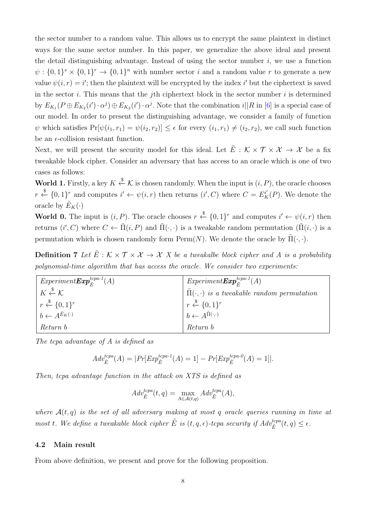the sector number to a random value. This allows us to encrypt the same plaintext in distinct ways for the same sector number. In this paper, we generalize the above ideal and present the detail distinguishing advantage. Instead of using the sector number  $i$ , we use a function  $\psi: \{0,1\}^s \times \{0,1\}^r \to \{0,1\}^n$  with number sector *i* and a random value *r* to generate a new value  $\psi(i, r) = i'$ ; then the plaintext will be encrypted by the index i' but the ciphertext is saved in the sector i. This means that the j<sup>th</sup> ciphertext block in the sector number i is determined by  $E_{K_1}(P \oplus E_{K_2}(i') \cdot \alpha^j) \oplus E_{K_2}(i') \cdot \alpha^j$ . Note that the combination  $i||R$  in [\[6\]](#page-10-0) is a special case of our model. In order to present the distinguishing advantage, we consider a family of function  $\psi$  which satisfies  $Pr[\psi(i_1, r_1) = \psi(i_2, r_2)] \leq \epsilon$  for every  $(i_1, r_1) \neq (i_2, r_2)$ , we call such function be an  $\epsilon$ -collision resistant function.

Next, we will present the security model for this ideal. Let  $\tilde{E}$  :  $K \times T \times X \to X$  be a fix tweakable block cipher. Consider an adversary that has access to an oracle which is one of two cases as follows:

**World 1.** Firstly, a key  $K \xleftarrow{\$} \mathcal{K}$  is chosen randomly. When the input is  $(i, P)$ , the oracle chooses  $r \stackrel{\$}{\leftarrow} \{0,1\}^r$  and computes  $i' \leftarrow \psi(i,r)$  then returns  $(i', C)$  where  $C = E_K^{i'}(P)$ . We denote the oracle by  $\tilde{E}_K(\cdot)$ 

**World 0.** The input is  $(i, P)$ . The oracle chooses  $r \stackrel{\$}{\leftarrow} \{0, 1\}^r$  and computes  $i' \leftarrow \psi(i, r)$  then returns  $(i', C)$  where  $C \leftarrow \tilde{\Pi}(i, P)$  and  $\tilde{\Pi}(\cdot, \cdot)$  is a tweakable random permutation  $(\tilde{\Pi}(i, \cdot))$  is a permutation which is chosen randomly form  $\text{Perm}(N)$ . We denote the oracle by  $\tilde{\Pi}(\cdot, \cdot)$ .

**Definition 7** Let  $\tilde{E}: K \times T \times X \to X$  X be a tweakalbe block cipher and A is a probability polynomial-time algorithm that has access the oracle. We consider two experiments:

| $^*$ Experiment $\pmb{Exp}^{topa-1}_{\tilde F}(A)$ | $Experiment \boldsymbol{Exp}^{tcpa-1}_{\tilde{\boldsymbol{r}}}(A)$                                                |
|----------------------------------------------------|-------------------------------------------------------------------------------------------------------------------|
| $K \overset{\$}{\leftarrow} \mathcal{K}$           | $\left( \Pi(\cdot, \cdot) \right)$ is a tweakable random permutation                                              |
| $r \stackrel{\$}{\leftarrow} \{0,1\}^r$            | $\begin{array}{ l} r \stackrel{\$}{\leftarrow} \{0,1\}^r\\ b \leftarrow A^{\tilde{\Pi}(\cdot,\cdot)} \end{array}$ |
| $b \leftarrow A^{\tilde{E}_K(\cdot)}$              |                                                                                                                   |
| Return b                                           | Return b                                                                                                          |

The tcpa advantage of A is defined as

$$
Adv_{\tilde{E}}^{tcpa}(A) = |Pr[Exp_{\tilde{E}}^{tcpa-1}(A) = 1] - Pr[Exp_{\tilde{E}}^{tcpa-0}(A) = 1]|.
$$

Then, tcpa advantage function in the attack on XTS is defined as

$$
Adv_{\tilde{E}}^{tcpa}(t,q) = \max_{A \in \mathcal{A}(t,q)} Adv_{\tilde{E}}^{tcpa}(A),
$$

where  $\mathcal{A}(t,q)$  is the set of all adversary making at most q oracle queries running in time at most t. We define a tweakable block cipher  $\tilde{E}$  is  $(t, q, \epsilon)$ -tcpa security if  $Adv_{\tilde{E}}^{top}(t, q) \leq \epsilon$ .

#### 4.2 Main result

From above definition, we present and prove for the following proposition.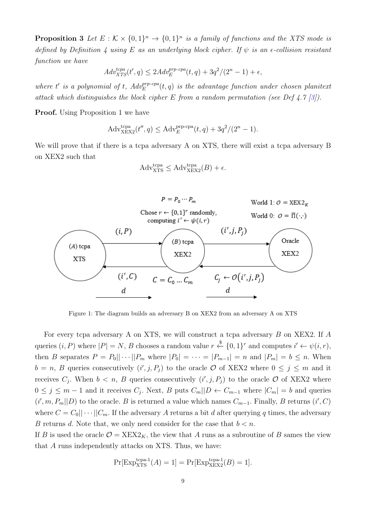**Proposition 3** Let  $E : \mathcal{K} \times \{0,1\}^n \rightarrow \{0,1\}^n$  is a family of functions and the XTS mode is defined by Definition 4 using E as an underlying block cipher. If  $\psi$  is an  $\epsilon$ -collision resistant function we have

$$
Adv_{XTS}^{tcpa}(t',q) \le 2Adv_E^{prp-cpa}(t,q) + 3q^2/(2^n - 1) + \epsilon,
$$

where t' is a polynomial of t,  $Adv_E^{prp-cap}(t,q)$  is the advantage function under chosen planitext attack which distinguishes the block cipher E from a random permutation (see Def 4.7 [\[3\]](#page-10-8)).

**Proof.** Using Proposition 1 we have

$$
Adv_{\text{XEX2}}^{\text{tcpa}}(t'', q) \le Adv_E^{\text{prp-cpa}}(t, q) + 3q^2/(2^n - 1).
$$

We will prove that if there is a tcpa adversary A on XTS, there will exist a tcpa adversary B on XEX2 such that

$$
Adv_{\text{XTS}}^{\text{tcpa}} \leq Adv_{\text{XEX2}}^{\text{tcpa}}(B) + \epsilon.
$$



Figure 1: The diagram builds an adversary B on XEX2 from an adversary A on XTS

For every tcpa adversary A on XTS, we will construct a tcpa adversary B on XEX2. If A queries  $(i, P)$  where  $|P| = N$ , B chooses a random value  $r \stackrel{\$}{\leftarrow} \{0, 1\}^r$  and computes  $i' \leftarrow \psi(i, r)$ , then B separates  $P = P_0 || \cdots || P_m$  where  $|P_0| = \cdots = |P_{m-1}| = n$  and  $|P_m| = b \le n$ . When  $b = n, B$  queries consecutively  $(i', j, P_j)$  to the oracle O of XEX2 where  $0 \leq j \leq m$  and it receives  $C_j$ . When  $b < n$ , B queries consecutively  $(i', j, P_j)$  to the oracle O of XEX2 where  $0 \leq j \leq m-1$  and it receives  $C_j$ . Next, B puts  $C_m||D \leftarrow C_{m-1}$  where  $|C_m| = b$  and queries  $(i', m, P_m||D)$  to the oracle. B is returned a value which names  $C_{m-1}$ . Finally, B returns  $(i', C)$ where  $C = C_0 || \cdots || C_m$ . If the adversary A returns a bit d after querying q times, the adversary B returns d. Note that, we only need consider for the case that  $b < n$ .

If B is used the oracle  $\mathcal{O} = \text{XEX2}_K$ , the view that A runs as a subroutine of B sames the view that A runs independently attacks on XTS. Thus, we have:

$$
Pr[Exp_{XTS}^{tcpa-1}(A) = 1] = Pr[Exp_{XEX2}^{tcpa-1}(B) = 1].
$$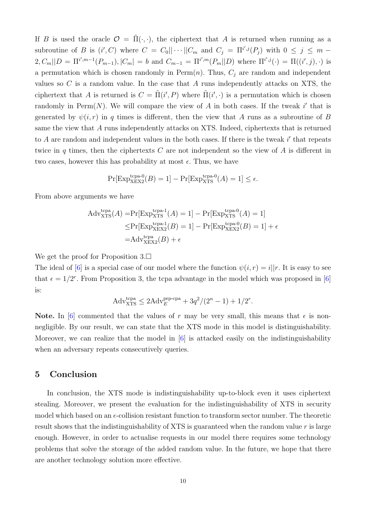If B is used the oracle  $\mathcal{O} = \tilde{\Pi}(\cdot, \cdot)$ , the ciphertext that A is returned when running as a subroutine of B is  $(i', C)$  where  $C = C_0 || \cdots || C_m$  and  $C_j = \prod^{i',j}(P_j)$  with  $0 \le j \le m - 1$  $2, C_m||D = \Pi^{i',m-1}(P_{m-1}), |C_m| = b$  and  $C_{m-1} = \Pi^{i',m}(P_m||D)$  where  $\Pi^{i',j}(\cdot) = \Pi((i',j),\cdot)$  is a permutation which is chosen randomly in Perm $(n)$ . Thus,  $C_i$  are random and independent values so  $C$  is a random value. In the case that  $A$  runs independently attacks on XTS, the ciphertext that A is returned is  $C = \tilde{\Pi}(i', P)$  where  $\tilde{\Pi}(i', \cdot)$  is a permutation which is chosen randomly in  $\text{Perm}(N)$ . We will compare the view of A in both cases. If the tweak i' that is generated by  $\psi(i, r)$  in q times is different, then the view that A runs as a subroutine of B same the view that A runs independently attacks on XTS. Indeed, ciphertexts that is returned to  $A$  are random and independent values in the both cases. If there is the tweak  $i'$  that repeats twice in  $q$  times, then the ciphertexts  $C$  are not independent so the view of  $A$  is different in two cases, however this has probability at most  $\epsilon$ . Thus, we have

$$
\Pr[\mathrm{Exp}_{\mathrm{XEX2}}^{\mathrm{topa-0}}(B) = 1] - \Pr[\mathrm{Exp}_{\mathrm{XTS}}^{\mathrm{topa-0}}(A) = 1] \le \epsilon.
$$

From above arguments we have

$$
Adv_{\text{XTS}}^{\text{tcpa}}(A) = \Pr[\text{Exp}_{\text{XTS}}^{\text{tcpa-1}}(A) = 1] - \Pr[\text{Exp}_{\text{XTS}}^{\text{tcpa-0}}(A) = 1]
$$
  
\n
$$
\leq \Pr[\text{Exp}_{\text{XEX2}}^{\text{tcpa-1}}(B) = 1] - \Pr[\text{Exp}_{\text{XEX2}}^{\text{tcpa-0}}(B) = 1] + \epsilon
$$
  
\n
$$
= Adv_{\text{XEX2}}^{\text{tcpa}}(B) + \epsilon
$$

We get the proof for Proposition  $3.\Box$ 

The ideal of [\[6\]](#page-10-0) is a special case of our model where the function  $\psi(i, r) = i||r$ . It is easy to see that  $\epsilon = 1/2^r$ . From Proposition 3, the tcpa advantage in the model which was proposed in [\[6\]](#page-10-0) is:

$$
Adv_{\text{XTS}}^{\text{tcpa}} \le 2Adv_E^{\text{prp-cpa}} + 3q^2/(2^n - 1) + 1/2^r.
$$

Note. In [\[6\]](#page-10-0) commented that the values of r may be very small, this means that  $\epsilon$  is nonnegligible. By our result, we can state that the XTS mode in this model is distinguishability. Moreover, we can realize that the model in [\[6\]](#page-10-0) is attacked easily on the indistinguishability when an adversary repeats consecutively queries.

### 5 Conclusion

In conclusion, the XTS mode is indistinguishability up-to-block even it uses ciphertext stealing. Moreover, we present the evaluation for the indistinguishability of XTS in security model which based on an  $\epsilon$ -collision resistant function to transform sector number. The theoretic result shows that the indistinguishability of XTS is guaranteed when the random value r is large enough. However, in order to actualise requests in our model there requires some technology problems that solve the storage of the added random value. In the future, we hope that there are another technology solution more effective.